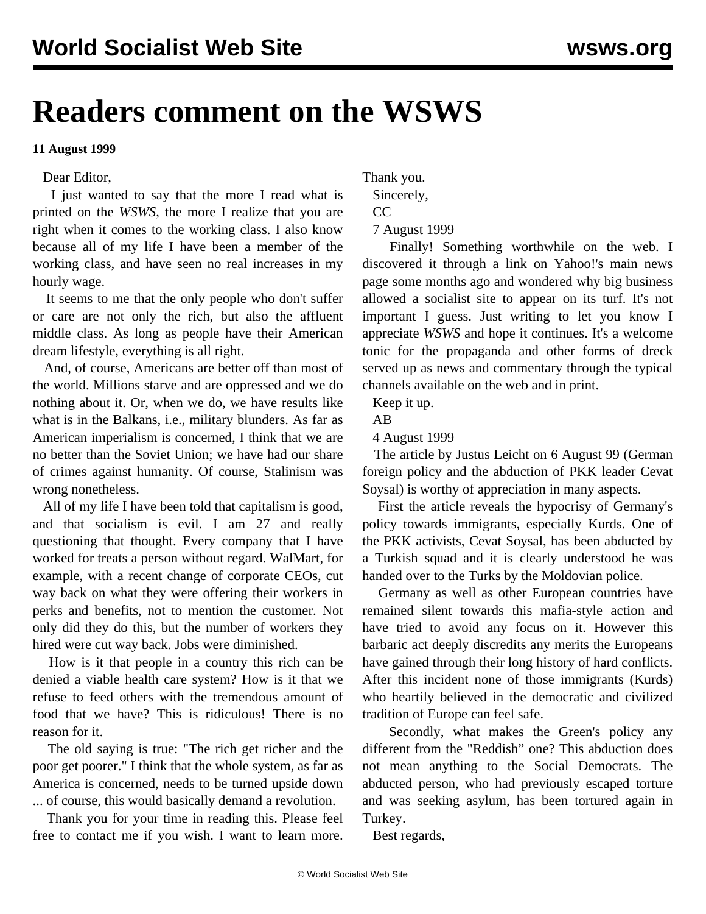## **Readers comment on the WSWS**

## **11 August 1999**

## Dear Editor,

 I just wanted to say that the more I read what is printed on the *WSWS*, the more I realize that you are right when it comes to the working class. I also know because all of my life I have been a member of the working class, and have seen no real increases in my hourly wage.

 It seems to me that the only people who don't suffer or care are not only the rich, but also the affluent middle class. As long as people have their American dream lifestyle, everything is all right.

 And, of course, Americans are better off than most of the world. Millions starve and are oppressed and we do nothing about it. Or, when we do, we have results like what is in the Balkans, i.e., military blunders. As far as American imperialism is concerned, I think that we are no better than the Soviet Union; we have had our share of crimes against humanity. Of course, Stalinism was wrong nonetheless.

 All of my life I have been told that capitalism is good, and that socialism is evil. I am 27 and really questioning that thought. Every company that I have worked for treats a person without regard. WalMart, for example, with a recent change of corporate CEOs, cut way back on what they were offering their workers in perks and benefits, not to mention the customer. Not only did they do this, but the number of workers they hired were cut way back. Jobs were diminished.

 How is it that people in a country this rich can be denied a viable health care system? How is it that we refuse to feed others with the tremendous amount of food that we have? This is ridiculous! There is no reason for it.

 The old saying is true: "The rich get richer and the poor get poorer." I think that the whole system, as far as America is concerned, needs to be turned upside down ... of course, this would basically demand a revolution.

 Thank you for your time in reading this. Please feel free to contact me if you wish. I want to learn more.

Thank you.

Sincerely,

 $CC$ 

7 August 1999

 Finally! Something worthwhile on the web. I discovered it through a link on Yahoo!'s main news page some months ago and wondered why big business allowed a socialist site to appear on its turf. It's not important I guess. Just writing to let you know I appreciate *WSWS* and hope it continues. It's a welcome tonic for the propaganda and other forms of dreck served up as news and commentary through the typical channels available on the web and in print.

Keep it up.

AB

4 August 1999

 The article by Justus Leicht on 6 August 99 (German foreign policy and the abduction of PKK leader Cevat Soysal) is worthy of appreciation in many aspects.

 First the article reveals the hypocrisy of Germany's policy towards immigrants, especially Kurds. One of the PKK activists, Cevat Soysal, has been abducted by a Turkish squad and it is clearly understood he was handed over to the Turks by the Moldovian police.

 Germany as well as other European countries have remained silent towards this mafia-style action and have tried to avoid any focus on it. However this barbaric act deeply discredits any merits the Europeans have gained through their long history of hard conflicts. After this incident none of those immigrants (Kurds) who heartily believed in the democratic and civilized tradition of Europe can feel safe.

 Secondly, what makes the Green's policy any different from the "Reddish" one? This abduction does not mean anything to the Social Democrats. The abducted person, who had previously escaped torture and was seeking asylum, has been tortured again in Turkey.

Best regards,